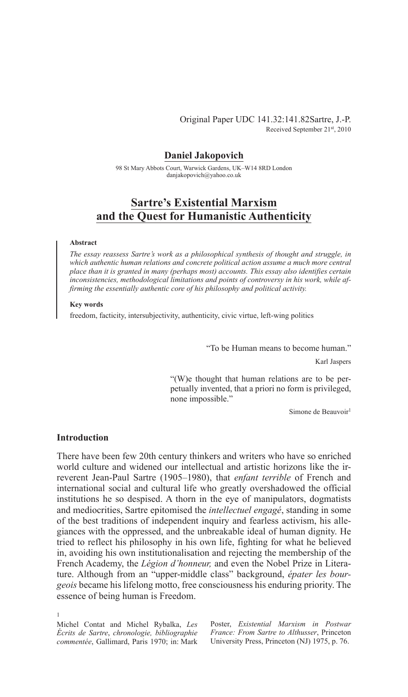### **Daniel Jakopovich**

98 St Mary Abbots Court, Warwick Gardens, UK-W14 8RD London danjakopovich@yahoo.co.uk

# **Sartre's Existential Marxism and the Quest for Humanistic Authenticity**

#### **Abstract**

*The essay reassess Sartre's work as a philosophical synthesis of thought and struggle, in which authentic human relations and concrete political action assume a much more central place than it is granted in many (perhaps most) accounts. This essay also identifies certain inconsistencies, methodological limitations and points of controversy in his work, while affirming the essentially authentic core of his philosophy and political activity.*

### **Key words**

freedom, facticity, intersubjectivity, authenticity, civic virtue, left-wing politics

"To be Human means to become human."

Karl Jaspers

"(W)e thought that human relations are to be perpetually invented, that a priori no form is privileged, none impossible."

Simone de Beauvoir<sup>1</sup>

### **Introduction**

There have been few 20th century thinkers and writers who have so enriched world culture and widened our intellectual and artistic horizons like the irreverent Jean-Paul Sartre (1905–1980), that *enfant terrible* of French and international social and cultural life who greatly overshadowed the official institutions he so despised. A thorn in the eye of manipulators, dogmatists and mediocrities, Sartre epitomised the *intellectuel engagé*, standing in some of the best traditions of independent inquiry and fearless activism, his allegiances with the oppressed, and the unbreakable ideal of human dignity. He tried to reflect his philosophy in his own life, fighting for what he believed in, avoiding his own institutionalisation and rejecting the membership of the French Academy, the *Légion d'honneur*, and even the Nobel Prize in Literature. Although from an "upper-middle class" background, épater les bour*geois* became his lifelong motto, free consciousness his enduring priority. The essence of being human is Freedom.

1

Michel Contat and Michel Rybalka, *Les Écrits de Sartre*, *chronologie, bibliographie commentée*, Gallimard, Paris 1970; in: Mark Poster, *Existential Marxism in Postwar France: From Sartre to Althusser*, Princeton University Press, Princeton (NJ) 1975, p. 76.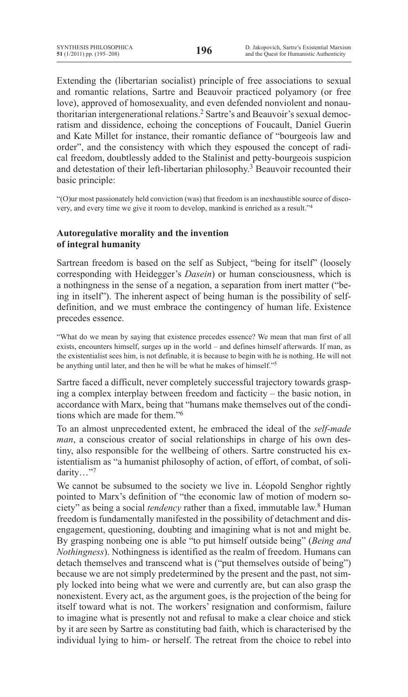Extending the (libertarian socialist) principle of free associations to sexual and romantic relations, Sartre and Beauvoir practiced polyamory (or free love), approved of homosexuality, and even defended nonviolent and nonauthoritarian intergenerational relations.<sup>2</sup> Sartre's and Beauvoir's sexual democratism and dissidence, echoing the conceptions of Foucault, Daniel Guerin and Kate Millet for instance, their romantic defiance of "bourgeois law and order", and the consistency with which they espoused the concept of radical freedom, doubtlessly added to the Stalinist and petty-bourgeois suspicion and detestation of their left-libertarian philosophy.<sup>3</sup> Beauvoir recounted their basic principle:

"(O)ur most passionately held conviction (was) that freedom is an inexhaustible source of discovery, and every time we give it room to develop, mankind is enriched as a result."<sup>4</sup>

# **Autoregulative morality and the invention of integral humanity**

Sartrean freedom is based on the self as Subject, "being for itself" (loosely corresponding with Heidegger's *Dasein*) or human consciousness, which is a nothingness in the sense of a negation, a separation from inert matter ("being in itself"). The inherent aspect of being human is the possibility of selfdefinition, and we must embrace the contingency of human life. Existence precedes essence.

"What do we mean by saying that existence precedes essence? We mean that man first of all exists, encounters himself, surges up in the world – and defines himself afterwards. If man, as the existentialist sees him, is not definable, it is because to begin with he is nothing. He will not be anything until later, and then he will be what he makes of himself."<sup>5</sup>

Sartre faced a difficult, never completely successful trajectory towards grasping a complex interplay between freedom and facticity  $-$  the basic notion, in accordance with Marx, being that "humans make themselves out of the conditions which are made for them."<sup>6</sup>

To an almost unprecedented extent, he embraced the ideal of the *self-made man*, a conscious creator of social relationships in charge of his own destiny, also responsible for the wellbeing of others. Sartre constructed his existentialism as "a humanist philosophy of action, of effort, of combat, of solidarity…"<sup>7</sup>

We cannot be subsumed to the society we live in. Léopold Senghor rightly pointed to Marx's definition of "the economic law of motion of modern society" as being a social *tendency* rather than a fixed, immutable law.<sup>8</sup> Human freedom is fundamentally manifested in the possibility of detachment and disengagement, questioning, doubting and imagining what is not and might be. By grasping nonbeing one is able "to put himself outside being" (*Being and Nothingness*). Nothingness is identified as the realm of freedom. Humans can detach themselves and transcend what is ("put themselves outside of being") because we are not simply predetermined by the present and the past, not simply locked into being what we were and currently are, but can also grasp the nonexistent. Every act, as the argument goes, is the projection of the being for itself toward what is not. The workers' resignation and conformism, failure to imagine what is presently not and refusal to make a clear choice and stick by it are seen by Sartre as constituting bad faith, which is characterised by the individual lying to him- or herself. The retreat from the choice to rebel into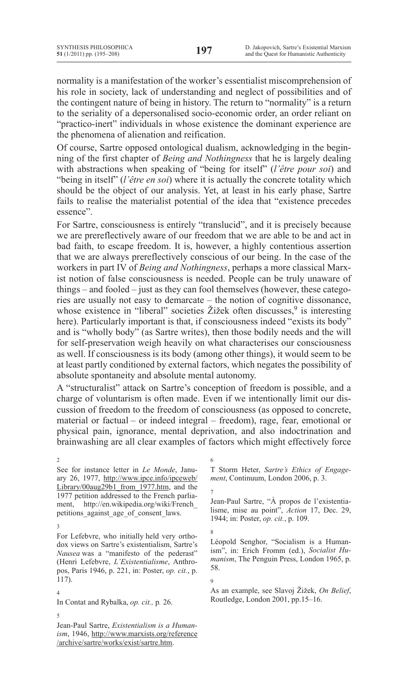normality is a manifestation of the worker's essentialist miscomprehension of his role in society, lack of understanding and neglect of possibilities and of the contingent nature of being in history. The return to "normality" is a return to the seriality of a depersonalised socio-economic order, an order reliant on "practico-inert" individuals in whose existence the dominant experience are the phenomena of alienation and reification.

Of course, Sartre opposed ontological dualism, acknowledging in the beginning of the first chapter of *Being and Nothingness* that he is largely dealing with abstractions when speaking of "being for itself" (*l'être pour soi*) and "being in itself" (*l'être en soi*) where it is actually the concrete totality which should be the object of our analysis. Yet, at least in his early phase, Sartre fails to realise the materialist potential of the idea that "existence precedes essence".

For Sartre, consciousness is entirely "translucid", and it is precisely because we are prereflectively aware of our freedom that we are able to be and act in bad faith, to escape freedom. It is, however, a highly contentious assertion that we are always prereflectively conscious of our being. In the case of the workers in part IV of *Being and Nothingness*, perhaps a more classical Marxist notion of false consciousness is needed. People can be truly unaware of things – and fooled – just as they can fool themselves (however, these categories are usually not easy to demarcate – the notion of cognitive dissonance, whose existence in "liberal" societies  $\check{Z}$ ižek often discusses,  $9$  is interesting here). Particularly important is that, if consciousness indeed "exists its body" and is "wholly body" (as Sartre writes), then those bodily needs and the will for self-preservation weigh heavily on what characterises our consciousness as well. If consciousness is its body (among other things), it would seem to be at least partly conditioned by external factors, which negates the possibility of absolute spontaneity and absolute mental autonomy.

A "structuralist" attack on Sartre's conception of freedom is possible, and a charge of voluntarism is often made. Even if we intentionally limit our discussion of freedom to the freedom of consciousness (as opposed to concrete, material or factual – or indeed integral – freedom), rage, fear, emotional or physical pain, ignorance, mental deprivation, and also indoctrination and brainwashing are all clear examples of factors which might effectively force

In Contat and Rybalka, *op. cit.*, p. 26.

7

6

Jean-Paul Sartre, "À propos de l'existentialisme, mise au point", *Action* 17, Dec. 29, 1944; in: Poster, *op. cit.*, p. 109.

8 Léopold Senghor, "Socialism is a Humanism", in: Erich Fromm (ed.), Socialist Hu*manism*, The Penguin Press, London 1965, p. 58.

9

As an example, see Slavoj Žižek, On Belief, Routledge, London 2001, pp.15–16.

5

4

<sup>2</sup> See for instance letter in *Le Monde*, January 26, 1977, http://www.ipce.info/ipceweb/ Library/00aug29b1\_from\_1977.htm, and the 1977 petition addressed to the French parliament, http://en.wikipedia.org/wiki/French\_ petitions against age of consent laws.

<sup>3</sup>

For Lefebvre, who initially held very orthodox views on Sartre's existentialism, Sartre's *Nausea* was a "manifesto of the pederast" (Henri Lefebvre, *L'Existentialisme*, Anthropos, Paris 1946, p. 221, in: Poster, *op. cit.*, p. 117).

T Storm Heter, *Sartre's Ethics of Engagement*, Continuum, London 2006, p. 3.

Jean-Paul Sartre, *Existentialism is a Human*ism, 1946, http://www.marxists.org/reference /archive/sartre/works/exist/sartre.htm.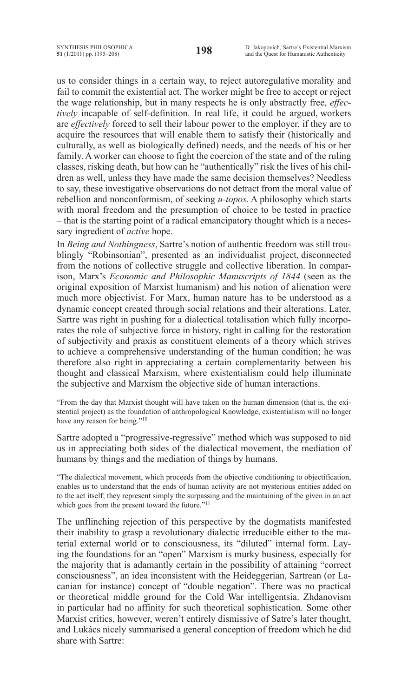us to consider things in a certain way, to reject autoregulative morality and fail to commit the existential act. The worker might be free to accept or reject the wage relationship, but in many respects he is only abstractly free, *effectively* incapable of self-definition. In real life, it could be argued, workers are *effectively* forced to sell their labour power to the employer, if they are to acquire the resources that will enable them to satisfy their (historically and culturally, as well as biologically defined) needs, and the needs of his or her family. A worker can choose to fight the coercion of the state and of the ruling classes, risking death, but how can he "authentically" risk the lives of his children as well, unless they have made the same decision themselves? Needless to say, these investigative observations do not detract from the moral value of rebellion and nonconformism, of seeking *u-topos*. A philosophy which starts with moral freedom and the presumption of choice to be tested in practice – that is the starting point of a radical emancipatory thought which is a necessary ingredient of *active* hope.

In *Being and Nothingness*, Sartre's notion of authentic freedom was still troublingly "Robinsonian", presented as an individualist project, disconnected from the notions of collective struggle and collective liberation. In comparison, Marx's *Economic and Philosophic Manuscripts of 1844* (seen as the original exposition of Marxist humanism) and his notion of alienation were much more objectivist. For Marx, human nature has to be understood as a dynamic concept created through social relations and their alterations. Later, Sartre was right in pushing for a dialectical totalisation which fully incorporates the role of subjective force in history, right in calling for the restoration of subjectivity and praxis as constituent elements of a theory which strives to achieve a comprehensive understanding of the human condition; he was therefore also right in appreciating a certain complementarity between his thought and classical Marxism, where existentialism could help illuminate the subjective and Marxism the objective side of human interactions.

"From the day that Marxist thought will have taken on the human dimension (that is, the existential project) as the foundation of anthropological Knowledge, existentialism will no longer have any reason for being."<sup>10</sup>

Sartre adopted a "progressive-regressive" method which was supposed to aid us in appreciating both sides of the dialectical movement, the mediation of humans by things and the mediation of things by humans.

"The dialectical movement, which proceeds from the objective conditioning to objectification, enables us to understand that the ends of human activity are not mysterious entities added on to the act itself; they represent simply the surpassing and the maintaining of the given in an act which goes from the present toward the future."<sup>11</sup>

The unflinching rejection of this perspective by the dogmatists manifested their inability to grasp a revolutionary dialectic irreducible either to the material external world or to consciousness, its "diluted" internal form. Laying the foundations for an "open" Marxism is murky business, especially for the majority that is adamantly certain in the possibility of attaining "correct consciousness", an idea inconsistent with the Heideggerian, Sartrean (or Lacanian for instance) concept of "double negation". There was no practical or theoretical middle ground for the Cold War intelligentsia. Zhdanovism in particular had no affinity for such theoretical sophistication. Some other Marxist critics, however, weren't entirely dismissive of Satre's later thought, and Lukács nicely summarised a general conception of freedom which he did share with Sartre: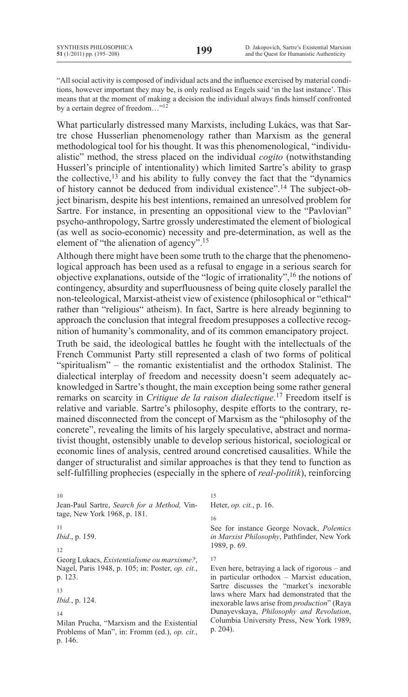"All social activity is composed of individual acts and the influence exercised by material conditions, however important they may be, is only realised as Engels said 'in the last instance'. This means that at the moment of making a decision the individual always finds himself confronted by a certain degree of freedom..."<sup>12</sup>

What particularly distressed many Marxists, including Lukács, was that Sartre chose Husserlian phenomenology rather than Marxism as the general methodological tool for his thought. It was this phenomenological, "individualistic" method, the stress placed on the individual *cogito* (notwithstanding Husserl's principle of intentionality) which limited Sartre's ability to grasp the collective, $13$  and his ability to fully convey the fact that the "dynamics" of history cannot be deduced from individual existence".<sup>14</sup> The subject-object binarism, despite his best intentions, remained an unresolved problem for Sartre. For instance, in presenting an oppositional view to the "Pavlovian" psycho-anthropology, Sartre grossly underestimated the element of biological (as well as socio-economic) necessity and pre-determination, as well as the element of "the alienation of agency".<sup>15</sup>

Although there might have been some truth to the charge that the phenomenological approach has been used as a refusal to engage in a serious search for objective explanations, outside of the "logic of irrationality",<sup>16</sup> the notions of contingency, absurdity and superfluousness of being quite closely parallel the non-teleological, Marxist-atheist view of existence (philosophical or "ethical" rather than "religious" atheism). In fact, Sartre is here already beginning to approach the conclusion that integral freedom presupposes a collective recognition of humanity's commonality, and of its common emancipatory project.

Truth be said, the ideological battles he fought with the intellectuals of the French Communist Party still represented a clash of two forms of political "spiritualism"  $-$  the romantic existentialist and the orthodox Stalinist. The dialectical interplay of freedom and necessity doesn't seem adequately acknowledged in Sartre's thought, the main exception being some rather general remarks on scarcity in *Critique de la raison dialectique*.<sup>17</sup> Freedom itself is relative and variable. Sartre's philosophy, despite efforts to the contrary, remained disconnected from the concept of Marxism as the "philosophy of the concrete", revealing the limits of his largely speculative, abstract and normativist thought, ostensibly unable to develop serious historical, sociological or economic lines of analysis, centred around concretised causalities. While the danger of structuralist and similar approaches is that they tend to function as self-fulfilling prophecies (especially in the sphere of *real-politik*), reinforcing

Jean-Paul Sartre, Search for a Method, Vintage, New York 1968, p. 181.

### 11

10

*Ibid.*, p. 159.

### 12

Georg Lukacs, *Existentialisme ou marxisme?*, Nagel, Paris 1948, p. 105; in: Poster, *op. cit.*, p. 123.

### 13

*Ibid.*, p. 124.

### 14

Milan Prucha, "Marxism and the Existential Problems of Man", in: Fromm (ed.), *op. cit.*, p. 146.

# Heter, *op. cit.*, p. 16.

16

15

See for instance George Novack, *Polemics* in Marxist Philosophy, Pathfinder, New York 1989, p. 69.

17

Even here, betraying a lack of rigorous  $-$  and in particular orthodox  $-$  Marxist education, Sartre discusses the "market's inexorable laws where Marx had demonstrated that the inexorable laws arise from *production*" (Raya Dunayevskaya, *Philosophy and Revolution*, Columbia University Press, New York 1989, p. 204).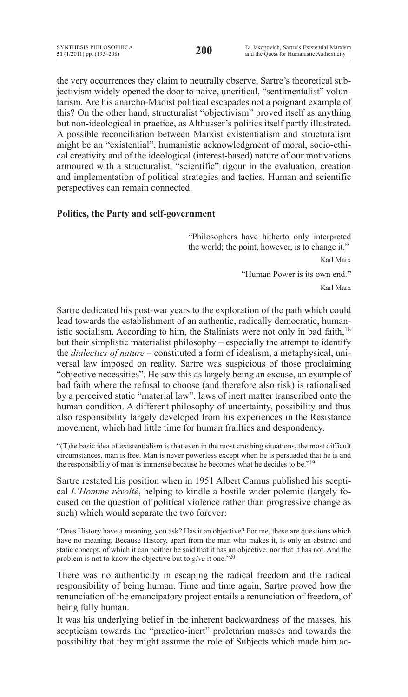the very occurrences they claim to neutrally observe, Sartre's theoretical subjectivism widely opened the door to naive, uncritical, "sentimentalist" voluntarism. Are his anarcho-Maoist political escapades not a poignant example of this? On the other hand, structuralist "objectivism" proved itself as anything but non-ideological in practice, as Althusser's politics itself partly illustrated. A possible reconciliation between Marxist existentialism and structuralism might be an "existential", humanistic acknowledgment of moral, socio-ethical creativity and of the ideological (interest-based) nature of our motivations armoured with a structuralist, "scientific" rigour in the evaluation, creation and implementation of political strategies and tactics. Human and scientific perspectives can remain connected.

## **Politics, the Party and self-government**

"Philosophers have hitherto only interpreted the world; the point, however, is to change it."

Karl Marx

"Human Power is its own end."

Karl Marx

Sartre dedicated his post-war years to the exploration of the path which could lead towards the establishment of an authentic, radically democratic, humanistic socialism. According to him, the Stalinists were not only in bad faith,  $18$ but their simplistic materialist philosophy – especially the attempt to identify the *dialectics of nature* – constituted a form of idealism, a metaphysical, universal law imposed on reality. Sartre was suspicious of those proclaiming "objective necessities". He saw this as largely being an excuse, an example of bad faith where the refusal to choose (and therefore also risk) is rationalised by a perceived static "material law", laws of inert matter transcribed onto the human condition. A different philosophy of uncertainty, possibility and thus also responsibility largely developed from his experiences in the Resistance movement, which had little time for human frailties and despondency.

" $(T)$ he basic idea of existentialism is that even in the most crushing situations, the most difficult circumstances, man is free. Man is never powerless except when he is persuaded that he is and the responsibility of man is immense because he becomes what he decides to be."<sup>19</sup>

Sartre restated his position when in 1951 Albert Camus published his sceptical *L'Homme révolté*, helping to kindle a hostile wider polemic (largely focused on the question of political violence rather than progressive change as such) which would separate the two forever:

"Does History have a meaning, you ask? Has it an objective? For me, these are questions which have no meaning. Because History, apart from the man who makes it, is only an abstract and static concept, of which it can neither be said that it has an objective, nor that it has not. And the problem is not to know the objective but to *give* it one."<sup>20</sup>

There was no authenticity in escaping the radical freedom and the radical responsibility of being human. Time and time again, Sartre proved how the renunciation of the emancipatory project entails a renunciation of freedom, of being fully human.

It was his underlying belief in the inherent backwardness of the masses, his scepticism towards the "practico-inert" proletarian masses and towards the possibility that they might assume the role of Subjects which made him ac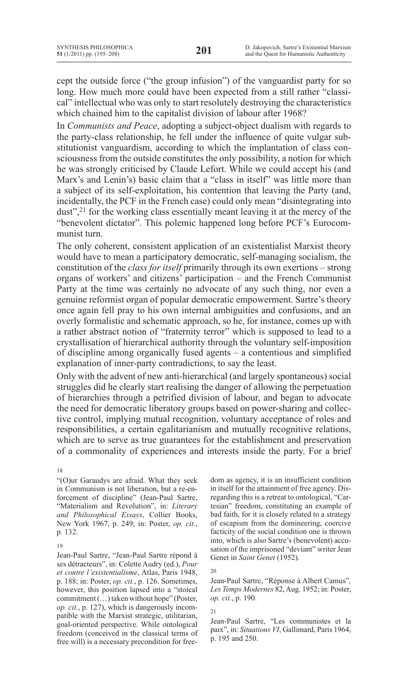cept the outside force ("the group infusion") of the vanguardist party for so long. How much more could have been expected from a still rather "classical" intellectual who was only to start resolutely destroying the characteristics which chained him to the capitalist division of labour after 1968?

In *Communists and Peace*, adopting a subject-object dualism with regards to the party-class relationship, he fell under the influence of quite vulgar substitutionist vanguardism, according to which the implantation of class consciousness from the outside constitutes the only possibility, a notion for which he was strongly criticised by Claude Lefort. While we could accept his (and Marx's and Lenin's) basic claim that a "class in itself" was little more than a subject of its self-exploitation, his contention that leaving the Party (and, incidentally, the PCF in the French case) could only mean "disintegrating into dust", $21$  for the working class essentially meant leaving it at the mercy of the "benevolent dictator". This polemic happened long before PCF's Eurocommunist turn.

The only coherent, consistent application of an existentialist Marxist theory would have to mean a participatory democratic, self-managing socialism, the constitution of the *class for itself* primarily through its own exertions – strong organs of workers' and citizens' participation – and the French Communist Party at the time was certainly no advocate of any such thing, nor even a genuine reformist organ of popular democratic empowerment. Sartre's theory once again fell pray to his own internal ambiguities and confusions, and an overly formalistic and schematic approach, so he, for instance, comes up with a rather abstract notion of "fraternity terror" which is supposed to lead to a crystallisation of hierarchical authority through the voluntary self-imposition of discipline among organically fused agents  $-$  a contentious and simplified explanation of inner-party contradictions, to say the least.

Only with the advent of new anti-hierarchical (and largely spontaneous) social struggles did he clearly start realising the danger of allowing the perpetuation of hierarchies through a petrified division of labour, and began to advocate the need for democratic liberatory groups based on power-sharing and collective control, implying mutual recognition, voluntary acceptance of roles and responsibilities, a certain egalitarianism and mutually recognitive relations, which are to serve as true guarantees for the establishment and preservation of a commonality of experiences and interests inside the party. For a brief

#### 18

"(O)ur Garaudys are afraid. What they seek in Communism is not liberation, but a re-enforcement of discipline" (Jean-Paul Sartre, "Materialism and Revolution", in: *Literary and Philosophical Essays*, Collier Books, New York 1967, p. 249; in: Poster, op. cit., p. 132.

### 19

Jean-Paul Sartre, "Jean-Paul Sartre répond à ses détracteurs", in: Colette Audry (ed.), Pour *et contre l'existentialisme*, Atlas, Paris 1948, p. 188; in: Poster, *op. cit.*, p. 126. Sometimes, however, this position lapsed into a "stoical commitment (...) taken without hope" (Poster, *op. cit.*, p. 127), which is dangerously incompatible with the Marxist strategic, utilitarian, goal-oriented perspective. While ontological freedom (conceived in the classical terms of free will) is a necessary precondition for freedom as agency, it is an insufficient condition in itself for the attainment of free agency. Disregarding this is a retreat to ontological, "Cartesian" freedom, constituting an example of bad faith, for it is closely related to a strategy of escapism from the domineering, coercive facticity of the social condition one is thrown into, which is also Sartre's (benevolent) accusation of the imprisoned "deviant" writer Jean Genet in Saint Genet (1952).

20

Jean-Paul Sartre, "Réponse à Albert Camus", Les Temps Modernes 82, Aug. 1952; in: Poster, *op. cit.*, p. 190.

21

Jean-Paul Sartre, "Les communistes et la paix", in: *Situations VI*, Gallimard, Paris 1964, p. 195 and 250.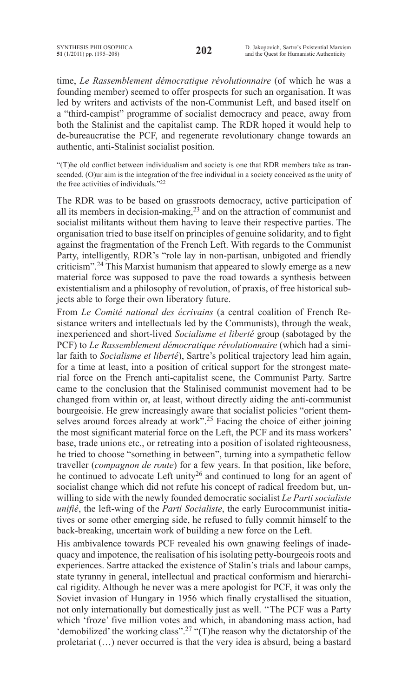time, *Le Rassemblement démocratique révolutionnaire* (of which he was a founding member) seemed to offer prospects for such an organisation. It was led by writers and activists of the non-Communist Left, and based itself on a "third-campist" programme of socialist democracy and peace, away from both the Stalinist and the capitalist camp. The RDR hoped it would help to de-bureaucratise the PCF, and regenerate revolutionary change towards an authentic, anti-Stalinist socialist position.

"(T)he old conflict between individualism and society is one that RDR members take as transcended. (O)ur aim is the integration of the free individual in a society conceived as the unity of the free activities of individuals."<sup>22</sup>

The RDR was to be based on grassroots democracy, active participation of all its members in decision-making,<sup>23</sup> and on the attraction of communist and socialist militants without them having to leave their respective parties. The organisation tried to base itself on principles of genuine solidarity, and to fight against the fragmentation of the French Left. With regards to the Communist Party, intelligently, RDR's "role lay in non-partisan, unbigoted and friendly criticism".<sup>24</sup> This Marxist humanism that appeared to slowly emerge as a new material force was supposed to pave the road towards a synthesis between existentialism and a philosophy of revolution, of praxis, of free historical subjects able to forge their own liberatory future.

From *Le Comité national des écrivains* (a central coalition of French Resistance writers and intellectuals led by the Communists), through the weak, inexperienced and short-lived *Socialisme et liberté* group (sabotaged by the PCF) to *Le Rassemblement démocratique révolutionnaire* (which had a similar faith to *Socialisme et liberté*), Sartre's political trajectory lead him again, for a time at least, into a position of critical support for the strongest material force on the French anti-capitalist scene, the Communist Party. Sartre came to the conclusion that the Stalinised communist movement had to be changed from within or, at least, without directly aiding the anti-communist bourgeoisie. He grew increasingly aware that socialist policies "orient themselves around forces already at work".<sup>25</sup> Facing the choice of either joining the most significant material force on the Left, the PCF and its mass workers' base, trade unions etc., or retreating into a position of isolated righteousness, he tried to choose "something in between", turning into a sympathetic fellow traveller (*compagnon de route*) for a few years. In that position, like before, he continued to advocate Left unity<sup>26</sup> and continued to long for an agent of socialist change which did not refute his concept of radical freedom but, unwilling to side with the newly founded democratic socialist *Le Parti socialiste unifié*, the left-wing of the *Parti Socialiste*, the early Eurocommunist initiatives or some other emerging side, he refused to fully commit himself to the back-breaking, uncertain work of building a new force on the Left.

His ambivalence towards PCF revealed his own gnawing feelings of inadequacy and impotence, the realisation of his isolating petty-bourgeois roots and experiences. Sartre attacked the existence of Stalin's trials and labour camps, state tyranny in general, intellectual and practical conformism and hierarchical rigidity. Although he never was a mere apologist for PCF, it was only the Soviet invasion of Hungary in 1956 which finally crystallised the situation, not only internationally but domestically just as well. "The PCF was a Party which 'froze' five million votes and which, in abandoning mass action, had 'demobilized' the working class".<sup>27</sup> "(T)he reason why the dictatorship of the proletariat  $(...)$  never occurred is that the very idea is absurd, being a bastard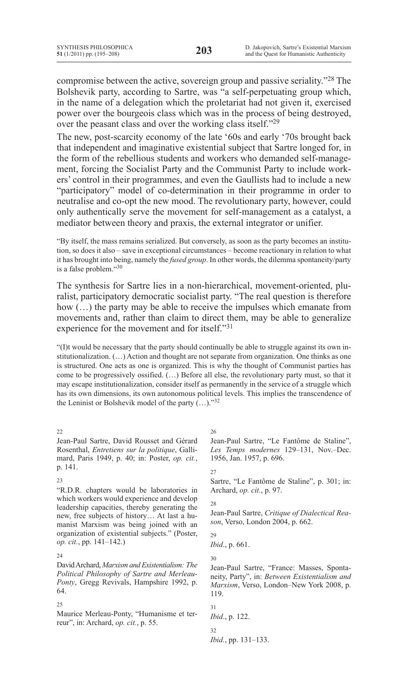compromise between the active, sovereign group and passive seriality."28 The Bolshevik party, according to Sartre, was "a self-perpetuating group which, in the name of a delegation which the proletariat had not given it, exercised power over the bourgeois class which was in the process of being destroyed. over the peasant class and over the working class itself."<sup>29</sup>

The new, post-scarcity economy of the late '60s and early '70s brought back that independent and imaginative existential subject that Sartre longed for, in the form of the rebellious students and workers who demanded self-management, forcing the Socialist Party and the Communist Party to include workers' control in their programmes, and even the Gaullists had to include a new "participatory" model of co-determination in their programme in order to neutralise and co-opt the new mood. The revolutionary party, however, could only authentically serve the movement for self-management as a catalyst, a mediator between theory and praxis, the external integrator or unifier.

"By itself, the mass remains serialized. But conversely, as soon as the party becomes an institution, so does it also – save in exceptional circumstances – become reactionary in relation to what it has brought into being, namely the *fused group*. In other words, the dilemma spontaneity/party is a false problem."30

The synthesis for Sartre lies in a non-hierarchical, movement-oriented, pluralist, participatory democratic socialist party. "The real question is therefore how  $(...)$  the party may be able to receive the impulses which emanate from movements and, rather than claim to direct them, may be able to generalize experience for the movement and for itself."31

"(I)t would be necessary that the party should continually be able to struggle against its own institutionalization.  $(\ldots)$  Action and thought are not separate from organization. One thinks as one is structured. One acts as one is organized. This is why the thought of Communist parties has come to be progressively ossified. (...) Before all else, the revolutionary party must, so that it may escape institutionalization, consider itself as permanently in the service of a struggle which has its own dimensions, its own autonomous political levels. This implies the transcendence of the Leninist or Bolshevik model of the party  $(...).$ <sup>32</sup>

 $22$ 

Jean-Paul Sartre, David Rousset and Gérard Rosenthal, *Entretiens sur la politique*, Gallimard, Paris 1949, p. 40; in: Poster, op. cit., p. 141.

### 23

"R.D.R. chapters would be laboratories in which workers would experience and develop leadership capacities, thereby generating the new, free subjects of history... At last a humanist Marxism was being joined with an organization of existential subjects." (Poster, *op. cit.*, pp. 141–142.)

### $24$

David Archard, *Marxism and Existentialism: The Political Philosophy of Sartre and Merleau-*Ponty, Gregg Revivals, Hampshire 1992, p. 64.

### 25

Maurice Merleau-Ponty, "Humanisme et terreur", in: Archard, op. cit., p. 55.

26

Jean-Paul Sartre, "Le Fantôme de Staline", Les Temps modernes 129-131, Nov.-Dec. 1956, Jan. 1957, p. 696.

### 27

Sartre, "Le Fantôme de Staline", p. 301; in: Archard, op. cit., p. 97.

### 28

Jean-Paul Sartre, Critique of Dialectical Rea*son*, Verso, London 2004, p. 662.

 $29$ 

*Ibid.*, p. 661.

30

Jean-Paul Sartre, "France: Masses, Spontaneity, Party", in: Between Existentialism and *Marxism*, Verso, London–New York 2008, p. 119.

### 31 *Ibid.*, p. 122. 32

Ibid., pp. 131-133.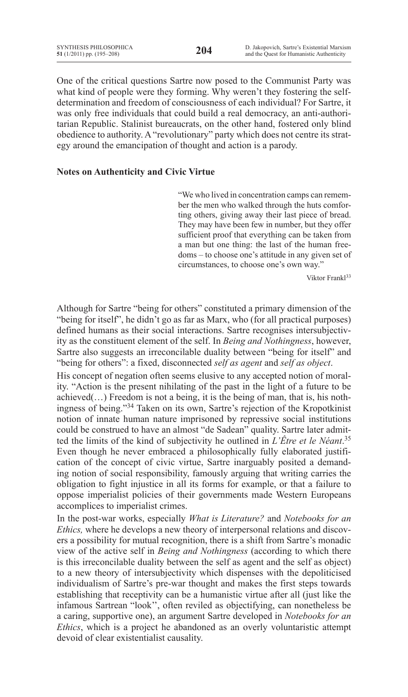One of the critical questions Sartre now posed to the Communist Party was what kind of people were they forming. Why weren't they fostering the selfdetermination and freedom of consciousness of each individual? For Sartre, it was only free individuals that could build a real democracy, an anti-authoritarian Republic. Stalinist bureaucrats, on the other hand, fostered only blind obedience to authority. A "revolutionary" party which does not centre its strategy around the emancipation of thought and action is a parody.

### **Notes on Authenticity and Civic Virtue**

"We who lived in concentration camps can remember the men who walked through the huts comforting others, giving away their last piece of bread. They may have been few in number, but they offer sufficient proof that everything can be taken from a man but one thing: the last of the human freedoms – to choose one's attitude in any given set of circumstances, to choose one's own way."

Viktor Frankl<sup>33</sup>

Although for Sartre "being for others" constituted a primary dimension of the "being for itself", he didn't go as far as Marx, who (for all practical purposes) defined humans as their social interactions. Sartre recognises intersubjectivity as the constituent element of the self. In *Being and Nothingness*, however, Sartre also suggests an irreconcilable duality between "being for itself" and "being for others": a fixed, disconnected *self as agent* and *self as object*.

His concept of negation often seems elusive to any accepted notion of morality. "Action is the present nihilating of the past in the light of a future to be  $a$ chieved(...) Freedom is not a being, it is the being of man, that is, his nothingness of being."<sup>34</sup> Taken on its own, Sartre's rejection of the Kropotkinist notion of innate human nature imprisoned by repressive social institutions could be construed to have an almost "de Sadean" quality. Sartre later admitted the limits of the kind of subjectivity he outlined in *L'Être et le Néant*.<sup>35</sup> Even though he never embraced a philosophically fully elaborated justification of the concept of civic virtue, Sartre inarguably posited a demanding notion of social responsibility, famously arguing that writing carries the obligation to fight injustice in all its forms for example, or that a failure to oppose imperialist policies of their governments made Western Europeans accomplices to imperialist crimes.

In the post-war works, especially *What is Literature?* and *Notebooks for an Ethics*, where he develops a new theory of interpersonal relations and discovers a possibility for mutual recognition, there is a shift from Sartre's monadic view of the active self in *Being and Nothingness* (according to which there is this irreconcilable duality between the self as agent and the self as object) to a new theory of intersubjectivity which dispenses with the depoliticised individualism of Sartre's pre-war thought and makes the first steps towards establishing that receptivity can be a humanistic virtue after all (just like the infamous Sartrean "look", often reviled as objectifying, can nonetheless be a caring, supportive one), an argument Sartre developed in *Notebooks for an Ethics*, which is a project he abandoned as an overly voluntaristic attempt devoid of clear existentialist causality.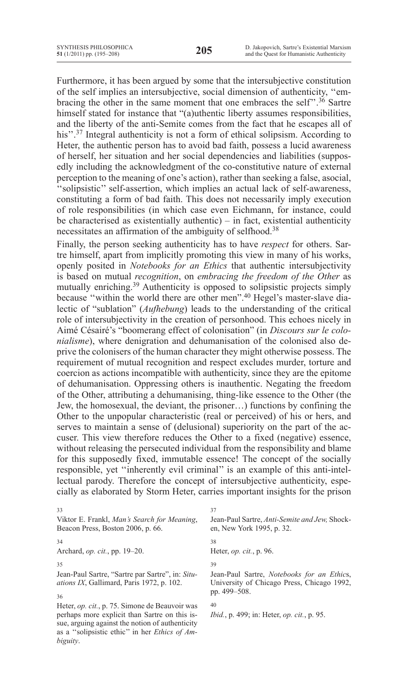$\overline{33}$ 

*biguity*.

Furthermore, it has been argued by some that the intersubjective constitution of the self implies an intersubjective, social dimension of authenticity, "embracing the other in the same moment that one embraces the self".<sup>36</sup> Sartre himself stated for instance that "(a)uthentic liberty assumes responsibilities, and the liberty of the anti-Semite comes from the fact that he escapes all of his".<sup>37</sup> Integral authenticity is not a form of ethical solipsism. According to Heter, the authentic person has to avoid bad faith, possess a lucid awareness of herself, her situation and her social dependencies and liabilities (supposedly including the acknowledgment of the co-constitutive nature of external perception to the meaning of one's action), rather than seeking a false, asocial, "solipsistic" self-assertion, which implies an actual lack of self-awareness, constituting a form of bad faith. This does not necessarily imply execution of role responsibilities (in which case even Eichmann, for instance, could be characterised as existentially authentic)  $-$  in fact, existential authenticity necessitates an affirmation of the ambiguity of selfhood.<sup>38</sup>

Finally, the person seeking authenticity has to have *respect* for others. Sartre himself, apart from implicitly promoting this view in many of his works, openly posited in *Notebooks for an Ethics* that authentic intersubjectivity is based on mutual *recognition*, on *embracing the freedom of the Other* as mutually enriching.<sup>39</sup> Authenticity is opposed to solipsistic projects simply because "within the world there are other men".<sup>40</sup> Hegel's master-slave dialectic of "sublation" (*Aufhebung*) leads to the understanding of the critical role of intersubjectivity in the creation of personhood. This echoes nicely in Aimé Césairé's "boomerang effect of colonisation" (in *Discours sur le colonialisme*), where denigration and dehumanisation of the colonised also deprive the colonisers of the human character they might otherwise possess. The requirement of mutual recognition and respect excludes murder, torture and coercion as actions incompatible with authenticity, since they are the epitome of dehumanisation. Oppressing others is inauthentic. Negating the freedom of the Other, attributing a dehumanising, thing-like essence to the Other (the Jew, the homosexual, the deviant, the prisoner...) functions by confining the Other to the unpopular characteristic (real or perceived) of his or hers, and serves to maintain a sense of (delusional) superiority on the part of the accuser. This view therefore reduces the Other to a fixed (negative) essence, without releasing the persecuted individual from the responsibility and blame for this supposedly fixed, immutable essence! The concept of the socially responsible, yet "inherently evil criminal" is an example of this anti-intellectual parody. Therefore the concept of intersubjective authenticity, especially as elaborated by Storm Heter, carries important insights for the prison

| 33                                                                                                                                                        | 37                                                                                               |
|-----------------------------------------------------------------------------------------------------------------------------------------------------------|--------------------------------------------------------------------------------------------------|
| Viktor E. Frankl, Man's Search for Meaning,<br>Beacon Press, Boston 2006, p. 66.                                                                          | Jean-Paul Sartre, Anti-Semite and Jew, Shock-<br>en, New York 1995, p. 32.                       |
| 34                                                                                                                                                        | 38                                                                                               |
| Archard, <i>op. cit.</i> , pp. 19–20.                                                                                                                     | Heter, <i>op. cit.</i> , p. 96.                                                                  |
| 35                                                                                                                                                        | 39                                                                                               |
| Jean-Paul Sartre, "Sartre par Sartre", in: Situ-<br><i>ations IX</i> , Gallimard, Paris 1972, p. 102.                                                     | Jean-Paul Sartre, <i>Notebooks for an Ethics</i> ,<br>University of Chicago Press, Chicago 1992, |
| 36                                                                                                                                                        | pp. 499–508.                                                                                     |
| Heter, <i>op. cit.</i> , p. 75. Simone de Beauvoir was                                                                                                    | 40                                                                                               |
| perhaps more explicit than Sartre on this is-<br>sue, arguing against the notion of authenticity<br>as a "solipsistic ethic" in her <i>Ethics of Am</i> - | <i>Ibid.</i> , p. 499; in: Heter, <i>op. cit.</i> , p. 95.                                       |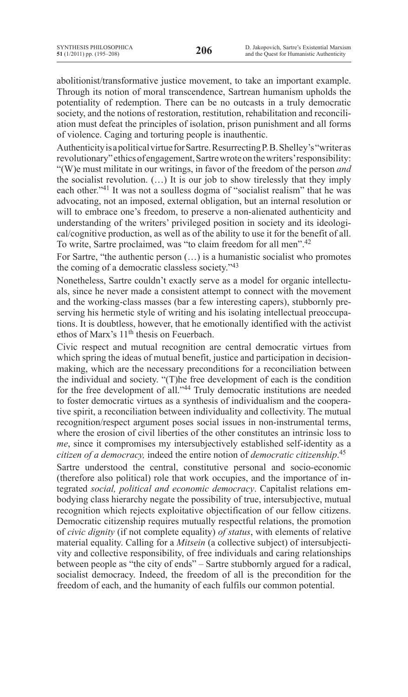abolitionist/transformative justice movement, to take an important example. Through its notion of moral transcendence, Sartrean humanism upholds the potentiality of redemption. There can be no outcasts in a truly democratic society, and the notions of restoration, restitution, rehabilitation and reconciliation must defeat the principles of isolation, prison punishment and all forms of violence. Caging and torturing people is inauthentic.

Authenticity is a political virtue for Sartre. Resurrecting P. B. Shelley's "writer as revolutionary" ethics of engagement, Sartre wrote on the writers' responsibility: "(W)e must militate in our writings, in favor of the freedom of the person *and* the socialist revolution.  $(...)$  It is our job to show tirelessly that they imply each other."<sup>41</sup> It was not a soulless dogma of "socialist realism" that he was advocating, not an imposed, external obligation, but an internal resolution or will to embrace one's freedom, to preserve a non-alienated authenticity and understanding of the writers' privileged position in society and its ideological/cognitive production, as well as of the ability to use it for the benefit of all. To write, Sartre proclaimed, was "to claim freedom for all men".<sup>42</sup>

For Sartre, "the authentic person  $(...)$  is a humanistic socialist who promotes the coming of a democratic classless society."43

Nonetheless, Sartre couldn't exactly serve as a model for organic intellectuals, since he never made a consistent attempt to connect with the movement and the working-class masses (bar a few interesting capers), stubbornly preserving his hermetic style of writing and his isolating intellectual preoccupations. It is doubtless, however, that he emotionally identified with the activist ethos of Marx's  $11<sup>th</sup>$  thesis on Feuerbach.

Civic respect and mutual recognition are central democratic virtues from which spring the ideas of mutual benefit, justice and participation in decisionmaking, which are the necessary preconditions for a reconciliation between the individual and society. " $(T)$ he free development of each is the condition for the free development of all."<sup>44</sup> Truly democratic institutions are needed to foster democratic virtues as a synthesis of individualism and the cooperative spirit, a reconciliation between individuality and collectivity. The mutual recognition/respect argument poses social issues in non-instrumental terms, where the erosion of civil liberties of the other constitutes an intrinsic loss to *me*, since it compromises my intersubjectively established self-identity as a *citizen of a democracy,* indeed the entire notion of *democratic citizenship*.<sup>45</sup>

Sartre understood the central, constitutive personal and socio-economic (therefore also political) role that work occupies, and the importance of integrated social, political and economic democracy. Capitalist relations embodying class hierarchy negate the possibility of true, intersubjective, mutual recognition which rejects exploitative objectification of our fellow citizens. Democratic citizenship requires mutually respectful relations, the promotion of *civic dignity* (if not complete equality) of status, with elements of relative material equality. Calling for a *Mitsein* (a collective subject) of intersubjectivity and collective responsibility, of free individuals and caring relationships between people as "the city of ends" – Sartre stubbornly argued for a radical, socialist democracy. Indeed, the freedom of all is the precondition for the freedom of each, and the humanity of each fulfils our common potential.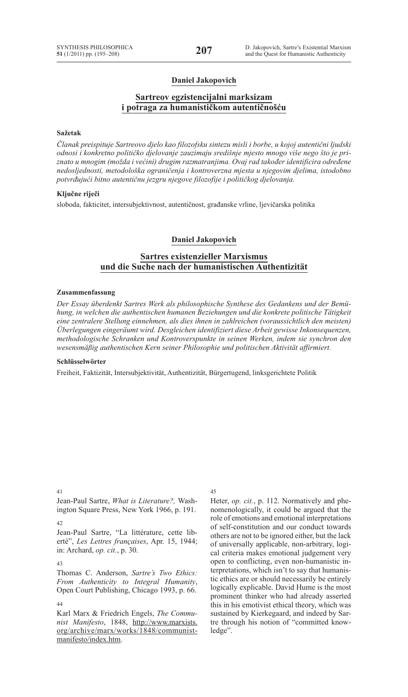### **Daniel Jakopovich**

### **Sartreov egzistencijalni marksizam i potraga za humanističkom autentičnošću**

#### **Sažetak**

*Članak preispituje Sartreovo djelo kao filozofsku sintezu misli i borbe, u kojoj autentični ljudski odnosi i konkretno političko djelovanje zauzimaju središnje mjesto mnogo više nego što je priznato u mnogim (možda i većini) drugim razmatranjima. Ovaj rad također identificira određene nedosljednosti, metodološka ograničenja i kontroverzna mjesta u njegovim djelima, istodobno potvrđujući bitno autentičnu jezgru njegove filozofije i političkog djelovanja.*

#### **Ključne riječi**

sloboda, fakticitet, intersubjektivnost, autentičnost, građanske vrline, ljevičarska politika

### **Daniel Jakopovich**

### **Sartres existenzieller Marxismus und die Suche nach der humanistischen Authentizität**

#### **Zusammenfassung**

*Der Essay überdenkt Sartres Werk als philosophische Synthese des Gedankens und der Bemühung, in welchen die authentischen humanen Beziehungen und die konkrete politische Tätigkeit eine zentralere Stellung einnehmen, als dies ihnen in zahlreichen (voraussichtlich den meisten) Überlegungen eingeräumt wird. Desgleichen identifiziert diese Arbeit gewisse Inkonsequenzen, methodologische Schranken und Kontroverspunkte in seinen Werken, indem sie synchron den wesensmäßig authentischen Kern seiner Philosophie und politischen Aktivität affirmiert.*

### **Schlüsselwörter**

Freiheit, Faktizität, Intersubjektivität, Authentizität, Bürgertugend, linksgerichtete Politik

41

Jean-Paul Sartre, *What is Literature?,* Washington Square Press, New York 1966, p. 191.

 $42$ 

Jean-Paul Sartre, "La littérature, cette liberté", *Les Lettres françaises*, Apr. 15, 1944; in: Archard, *op. cit.*, p. 30.

#### 43

Thomas C. Anderson, *Sartre's Two Ethics: From Authenticity to Integral Humanity*, Open Court Publishing, Chicago 1993, p. 66.

44 Karl Marx & Friedrich Engels, *The Communist Manifesto*, 1848, http://www.marxists. org/archive/marx/works/1848/communistmanifesto/index.htm.

### 45

Heter, *op. cit.*, p. 112. Normatively and phenomenologically, it could be argued that the role of emotions and emotional interpretations of self-constitution and our conduct towards others are not to be ignored either, but the lack of universally applicable, non-arbitrary, logical criteria makes emotional judgement very open to conflicting, even non-humanistic interpretations, which isn't to say that humanistic ethics are or should necessarily be entirely logically explicable. David Hume is the most prominent thinker who had already asserted this in his emotivist ethical theory, which was sustained by Kierkegaard, and indeed by Sartre through his notion of "committed knowledge".